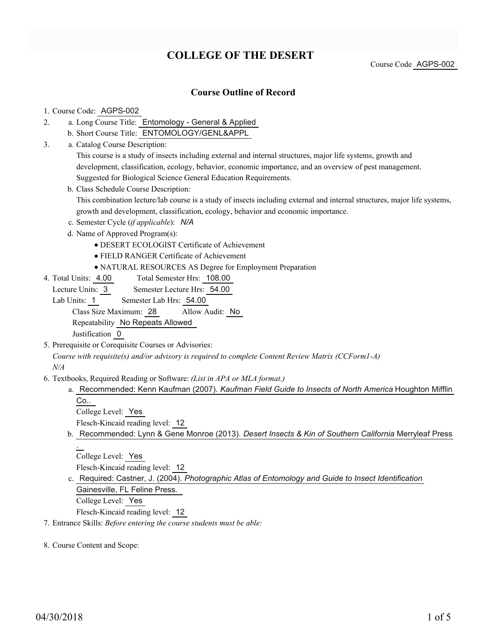## **COLLEGE OF THE DESERT**

Course Code AGPS-002

### **Course Outline of Record**

#### 1. Course Code: AGPS-002

- a. Long Course Title: Entomology General & Applied 2.
	- b. Short Course Title: ENTOMOLOGY/GENL&APPL
- Catalog Course Description: a. 3.

This course is a study of insects including external and internal structures, major life systems, growth and development, classification, ecology, behavior, economic importance, and an overview of pest management. Suggested for Biological Science General Education Requirements.

b. Class Schedule Course Description:

This combination lecture/lab course is a study of insects including external and internal structures, major life systems, growth and development, classification, ecology, behavior and economic importance.

- c. Semester Cycle (*if applicable*): *N/A*
- d. Name of Approved Program(s):
	- DESERT ECOLOGIST Certificate of Achievement
	- FIELD RANGER Certificate of Achievement
	- NATURAL RESOURCES AS Degree for Employment Preparation
- Total Semester Hrs: 108.00 4. Total Units: 4.00

Lecture Units: 3 Semester Lecture Hrs: 54.00

Lab Units: 1 Semester Lab Hrs: 54.00

Class Size Maximum: 28 Allow Audit: No

Repeatability No Repeats Allowed

Justification 0

5. Prerequisite or Corequisite Courses or Advisories:

*Course with requisite(s) and/or advisory is required to complete Content Review Matrix (CCForm1-A) N/A*

- Textbooks, Required Reading or Software: *(List in APA or MLA format.)* 6.
	- a. Recommended: Kenn Kaufman (2007). *Kaufman Field Guide to Insects of North America* Houghton Mifflin Co..

College Level: Yes

- Flesch-Kincaid reading level: 12
- b. Recommended: Lynn & Gene Monroe (2013). *Desert Insects & Kin of Southern California* Merryleaf Press .

College Level: Yes Flesch-Kincaid reading level: 12

c. Required: Castner, J. (2004). *Photographic Atlas of Entomology and Guide to Insect Identification* Gainesville, FL Feline Press. College Level: Yes

Flesch-Kincaid reading level: 12

7. Entrance Skills: *Before entering the course students must be able:*

8. Course Content and Scope: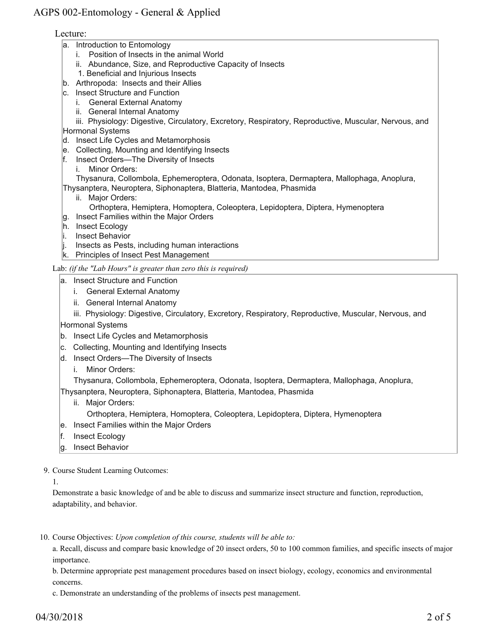## AGPS 002-Entomology - General & Applied

#### Lecture:

- a. Introduction to Entomology
	- i. Position of Insects in the animal World
	- ii. Abundance, Size, and Reproductive Capacity of Insects
	- 1. Beneficial and Injurious Insects
- b. Arthropoda: Insects and their Allies
- c. Insect Structure and Function
	- i. General External Anatomy
	- ii. General Internal Anatomy

 iii. Physiology: Digestive, Circulatory, Excretory, Respiratory, Reproductive, Muscular, Nervous, and Hormonal Systems

- d. Insect Life Cycles and Metamorphosis
- e. Collecting, Mounting and Identifying Insects
- f. Insect Orders—The Diversity of Insects
	- i. Minor Orders:

 Thysanura, Collombola, Ephemeroptera, Odonata, Isoptera, Dermaptera, Mallophaga, Anoplura, Thysanptera, Neuroptera, Siphonaptera, Blatteria, Mantodea, Phasmida

- ii. Major Orders:
	- Orthoptera, Hemiptera, Homoptera, Coleoptera, Lepidoptera, Diptera, Hymenoptera
- g. Insect Families within the Major Orders
- h. Insect Ecology
- i. Insect Behavior
- $\parallel$ . Insects as Pests, including human interactions
- k. Principles of Insect Pest Management

Lab: *(if the "Lab Hours" is greater than zero this is required)*

- a. Insect Structure and Function
	- i. General External Anatomy
	- ii. General Internal Anatomy

 iii. Physiology: Digestive, Circulatory, Excretory, Respiratory, Reproductive, Muscular, Nervous, and Hormonal Systems

- b. Insect Life Cycles and Metamorphosis
- c. Collecting, Mounting and Identifying Insects
- d. Insect Orders—The Diversity of Insects
	- i. Minor Orders:

Thysanura, Collombola, Ephemeroptera, Odonata, Isoptera, Dermaptera, Mallophaga, Anoplura,

Thysanptera, Neuroptera, Siphonaptera, Blatteria, Mantodea, Phasmida

- ii. Major Orders:
	- Orthoptera, Hemiptera, Homoptera, Coleoptera, Lepidoptera, Diptera, Hymenoptera
- e. Insect Families within the Major Orders
- f. Insect Ecology
- g. Insect Behavior

9. Course Student Learning Outcomes:

1.

Demonstrate a basic knowledge of and be able to discuss and summarize insect structure and function, reproduction, adaptability, and behavior.

10. Course Objectives: Upon completion of this course, students will be able to:

a. Recall, discuss and compare basic knowledge of 20 insect orders, 50 to 100 common families, and specific insects of major importance.

b. Determine appropriate pest management procedures based on insect biology, ecology, economics and environmental concerns.

c. Demonstrate an understanding of the problems of insects pest management.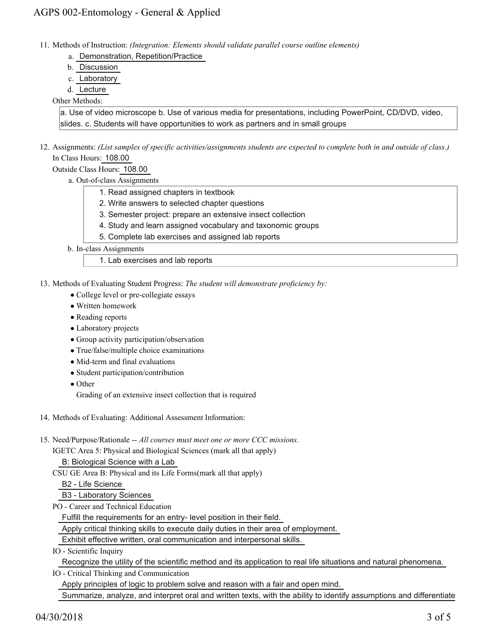- Methods of Instruction: *(Integration: Elements should validate parallel course outline elements)* 11.
	- a. Demonstration, Repetition/Practice
	- b. Discussion
	- c. Laboratory
	- d. Lecture

#### Other Methods:

a. Use of video microscope b. Use of various media for presentations, including PowerPoint, CD/DVD, video, slides. c. Students will have opportunities to work as partners and in small groups

12. Assignments: (List samples of specific activities/assignments students are expected to complete both in and outside of class.) In Class Hours: 108.00

Outside Class Hours: 108.00

- a. Out-of-class Assignments
	- 1. Read assigned chapters in textbook
	- 2. Write answers to selected chapter questions
	- 3. Semester project: prepare an extensive insect collection
	- 4. Study and learn assigned vocabulary and taxonomic groups
	- 5. Complete lab exercises and assigned lab reports
- b. In-class Assignments

1. Lab exercises and lab reports

13. Methods of Evaluating Student Progress: The student will demonstrate proficiency by:

- College level or pre-collegiate essays
- Written homework
- Reading reports
- Laboratory projects
- Group activity participation/observation
- True/false/multiple choice examinations
- Mid-term and final evaluations
- Student participation/contribution
- Other

Grading of an extensive insect collection that is required

- 14. Methods of Evaluating: Additional Assessment Information:
- 15. Need/Purpose/Rationale -- All courses must meet one or more CCC missions.

IGETC Area 5: Physical and Biological Sciences (mark all that apply)

B: Biological Science with a Lab

CSU GE Area B: Physical and its Life Forms(mark all that apply)

B2 - Life Science

B3 - Laboratory Sciences

PO - Career and Technical Education

Fulfill the requirements for an entry- level position in their field.

Apply critical thinking skills to execute daily duties in their area of employment.

Exhibit effective written, oral communication and interpersonal skills.

IO - Scientific Inquiry

Recognize the utility of the scientific method and its application to real life situations and natural phenomena.

IO - Critical Thinking and Communication

Apply principles of logic to problem solve and reason with a fair and open mind.

Summarize, analyze, and interpret oral and written texts, with the ability to identify assumptions and differentiate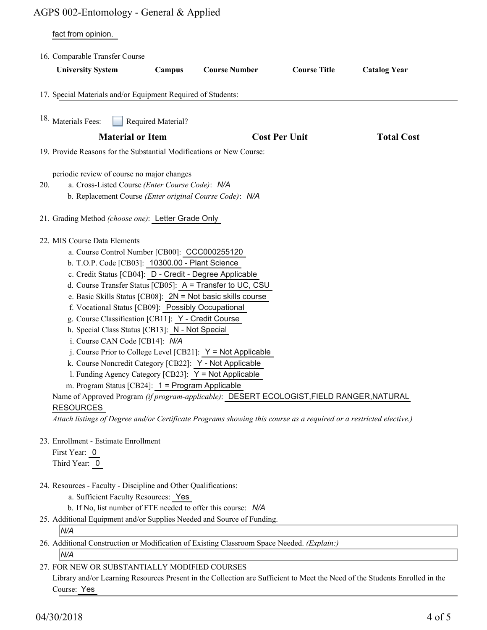# AGPS 002-Entomology - General & Applied

|     | fact from opinion.                                                                                                                                                                                                                                                                                                                                                                                                                                                                                                                                                                                                                                                                                                                                                                                                                                                                                                                                                                                         |
|-----|------------------------------------------------------------------------------------------------------------------------------------------------------------------------------------------------------------------------------------------------------------------------------------------------------------------------------------------------------------------------------------------------------------------------------------------------------------------------------------------------------------------------------------------------------------------------------------------------------------------------------------------------------------------------------------------------------------------------------------------------------------------------------------------------------------------------------------------------------------------------------------------------------------------------------------------------------------------------------------------------------------|
|     | 16. Comparable Transfer Course                                                                                                                                                                                                                                                                                                                                                                                                                                                                                                                                                                                                                                                                                                                                                                                                                                                                                                                                                                             |
|     | <b>Course Number</b><br><b>Course Title</b><br><b>Catalog Year</b><br><b>University System</b><br>Campus                                                                                                                                                                                                                                                                                                                                                                                                                                                                                                                                                                                                                                                                                                                                                                                                                                                                                                   |
|     | 17. Special Materials and/or Equipment Required of Students:                                                                                                                                                                                                                                                                                                                                                                                                                                                                                                                                                                                                                                                                                                                                                                                                                                                                                                                                               |
|     | <sup>18.</sup> Materials Fees:<br>Required Material?                                                                                                                                                                                                                                                                                                                                                                                                                                                                                                                                                                                                                                                                                                                                                                                                                                                                                                                                                       |
|     | <b>Material or Item</b><br><b>Cost Per Unit</b><br><b>Total Cost</b>                                                                                                                                                                                                                                                                                                                                                                                                                                                                                                                                                                                                                                                                                                                                                                                                                                                                                                                                       |
|     | 19. Provide Reasons for the Substantial Modifications or New Course:                                                                                                                                                                                                                                                                                                                                                                                                                                                                                                                                                                                                                                                                                                                                                                                                                                                                                                                                       |
| 20. | periodic review of course no major changes<br>a. Cross-Listed Course (Enter Course Code): N/A<br>b. Replacement Course (Enter original Course Code): N/A                                                                                                                                                                                                                                                                                                                                                                                                                                                                                                                                                                                                                                                                                                                                                                                                                                                   |
|     | 21. Grading Method (choose one): Letter Grade Only                                                                                                                                                                                                                                                                                                                                                                                                                                                                                                                                                                                                                                                                                                                                                                                                                                                                                                                                                         |
|     | 22. MIS Course Data Elements<br>a. Course Control Number [CB00]: CCC000255120<br>b. T.O.P. Code [CB03]: 10300.00 - Plant Science<br>c. Credit Status [CB04]: D - Credit - Degree Applicable<br>d. Course Transfer Status [CB05]: A = Transfer to UC, CSU<br>e. Basic Skills Status [CB08]: $2N = Not basic skills course$<br>f. Vocational Status [CB09]: Possibly Occupational<br>g. Course Classification [CB11]: Y - Credit Course<br>h. Special Class Status [CB13]: N - Not Special<br>i. Course CAN Code [CB14]: N/A<br>j. Course Prior to College Level [CB21]: $Y = Not$ Applicable<br>k. Course Noncredit Category [CB22]: Y - Not Applicable<br>1. Funding Agency Category [CB23]: Y = Not Applicable<br>m. Program Status [CB24]: 1 = Program Applicable<br>Name of Approved Program (if program-applicable): DESERT ECOLOGIST, FIELD RANGER, NATURAL<br><b>RESOURCES</b><br>Attach listings of Degree and/or Certificate Programs showing this course as a required or a restricted elective.) |
|     | 23. Enrollment - Estimate Enrollment<br>First Year: 0<br>Third Year: 0                                                                                                                                                                                                                                                                                                                                                                                                                                                                                                                                                                                                                                                                                                                                                                                                                                                                                                                                     |
|     | 24. Resources - Faculty - Discipline and Other Qualifications:<br>a. Sufficient Faculty Resources: Yes<br>b. If No, list number of FTE needed to offer this course: N/A<br>25. Additional Equipment and/or Supplies Needed and Source of Funding.                                                                                                                                                                                                                                                                                                                                                                                                                                                                                                                                                                                                                                                                                                                                                          |
|     | N/A                                                                                                                                                                                                                                                                                                                                                                                                                                                                                                                                                                                                                                                                                                                                                                                                                                                                                                                                                                                                        |
|     | 26. Additional Construction or Modification of Existing Classroom Space Needed. (Explain:)<br> N/A                                                                                                                                                                                                                                                                                                                                                                                                                                                                                                                                                                                                                                                                                                                                                                                                                                                                                                         |

#### FOR NEW OR SUBSTANTIALLY MODIFIED COURSES 27.

Library and/or Learning Resources Present in the Collection are Sufficient to Meet the Need of the Students Enrolled in the Course: Yes